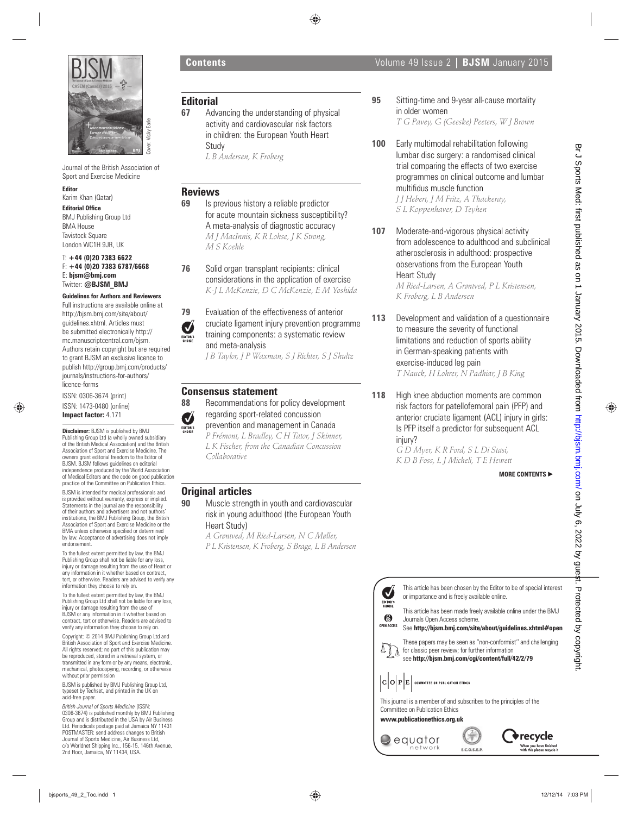

Journal of the British Association of Sport and Exercise Medicine

#### **Editor**

- Karim Khan (Qatar)
- **Editorial Office**

BMJ Publishing Group Ltd BMA House **Tavistock Square** London WC1H 9JR, UK

T: **+44 (0)20 7383 6622** F: **+44 (0)20 7383 6787/6668** E: **bjsm@bmj.com** Twitter: **@BJSM\_BMJ**

## **Guidelines for Authors and Reviewers**

Full instructions are available online at http://bjsm.bmj.com/site/about/ guidelines.xhtml. Articles must be submitted electronically http:// mc.manuscriptcentral.com/bjsm. Authors retain copyright but are required to grant BJSM an exclusive licence to publish http://group.bmj.com/products/ journals/instructions-for-authors/ licence-forms

ISSN: 0306-3674 (print) ISSN: 1473-0480 (online) **Impact factor:** 4.171

**Disclaimer:** BJSM is published by BMJ Publishing Group Ltd (a wholly owned subsidiary of the British Medical Association) and the British Association of Sport and Exercise Medicine. The owners grant editorial freedom to the Editor of BJSM. BJSM follows guidelines on editorial independence produced by the World Association of Medical Editors and the code on good publication practice of the Committee on Publication Ethics.

BJSM is intended for medical professionals and is provided without warranty, express or implied. Statements in the journal are the responsibility of their authors and advertisers and not authors' institutions, the BMJ Publishing Group, the British Association of Sport and Exercise Medicine or the BMA unless otherwise specified or determined by law. Acceptance of advertising does not imply endorsement.

To the fullest extent permitted by law, the BMJ Publishing Group shall not be liable for any loss, injury or damage resulting from the use of Heart or any information in it whether based on contract tort, or otherwise. Readers are advised to verify any information they choose to rely on.

To the fullest extent permitted by law, the BMJ Publishing Group Ltd shall not be liable for any loss, injury or damage resulting from the use of BJSM or any information in it whether based on contract, tort or otherwise. Readers are advised to verify any information they choose to rely on.

Copyright: © 2014 BMJ Publishing Group Ltd and British Association of Sport and Exercise Medicine. All rights reserved; no part of this publication may be reproduced, stored in a retrieval system, or transmitted in any form or by any means, electronic, mechanical, photocopying, recording, or otherwise without prior permission

BJSM is published by BMJ Publishing Group Ltd, typeset by Techset, and printed in the UK on acid-free paper.

*British Journal of Sports Medicine* (ISSN: 0306-3674) is published monthly by BMJ Publishing Group and is distributed in the USA by Air Business Ltd. Periodicals postage paid at Jamaica NY 11431 POSTMASTER: send address changes to British Journal of Sports Medicine, Air Business Ltd, c/o Worldnet Shipping Inc., 156-15, 146th Avenue, 2nd Floor, Jamaica, NY 11434, USA.

# **Editorial**

**67** Advancing the understanding of physical activity and cardiovascular risk factors in children: the European Youth Heart Study

*L B Andersen, K Froberg*

# **Reviews**

**69** Is previous history a reliable predictor for acute mountain sickness susceptibility? A meta-analysis of diagnostic accuracy *M J MacInnis, K R Lohse, J K Strong, M S Koehle*

**76** Solid organ transplant recipients: clinical considerations in the application of exercise *K-J L McKenzie, D C McKenzie, E M Yoshida*

**79** Evaluation of the effectiveness of anterior cruciate ligament injury prevention programme training components: a systematic review and meta-analysis *J B Taylor, J P Waxman, S J Richter, S J Shultz*

# **Consensus statement**

- **88** Recommendations for policy development regarding sport-related concussion
	- prevention and management in Canada

*P Frémont, L Bradley, C H Tator, J Skinner, L K Fischer, from the Canadian Concussion Collaborative*

# **Original articles**

**90** Muscle strength in youth and cardiovascular risk in young adulthood (the European Youth Heart Study)

*A Grøntved, M Ried-Larsen, N C Møller, P L Kristensen, K Froberg, S Brage, L B Andersen*



- This article has been chosen by the Editor to be of special interest or importance and is freely available online.
- This article has been made freely available online under the BMJ Journals Open Access scheme.
- See **http://bjsm.bmj.com/site/about/guidelines.xhtml#open**



This journal is a member of and subscribes to the principles of the Committee on Publication Ethics

**www.publicationethics.org.uk**





- **95** Sitting-time and 9-year all-cause mortality in older women *T G Pavey, G (Geeske) Peeters, W J Brown*
- **100** Early multimodal rehabilitation following lumbar disc surgery: a randomised clinical trial comparing the effects of two exercise programmes on clinical outcome and lumbar multifidus muscle function *J J Hebert, J M Fritz, A Thackeray, S L Koppenhaver, D Teyhen* **b**  $\frac{1}{2}$   $\frac{1}{2}$   $\frac{1}{2}$   $\frac{1}{2}$   $\frac{1}{2}$   $\frac{1}{2}$   $\frac{1}{2}$   $\frac{1}{2}$   $\frac{1}{2}$   $\frac{1}{2}$   $\frac{1}{2}$   $\frac{1}{2}$   $\frac{1}{2}$   $\frac{1}{2}$   $\frac{1}{2}$   $\frac{1}{2}$   $\frac{1}{2}$   $\frac{1}{2}$   $\frac{1}{2}$   $\frac{1}{2}$   $\frac{1}{2}$   $\frac{1}{2$ 
	- **107** Moderate-and-vigorous physical activity from adolescence to adulthood and subclinical atherosclerosis in adulthood: prospective observations from the European Youth Heart Study

*M Ried-Larsen, A Grøntved, P L Kristensen, K Froberg, L B Andersen*

- 113 Development and validation of a questionnaire to measure the severity of functional limitations and reduction of sports ability in German-speaking patients with exercise-induced leg pain *T Nauck, H Lohrer, N Padhiar, J B King*
- **118** High knee abduction moments are common risk factors for patellofemoral pain (PFP) and anterior cruciate ligament (ACL) injury in girls: Is PFP itself a predictor for subsequent ACL injury? *G D Myer, K R Ford, S L Di Stasi,*

*K D B Foss, L J Micheli, T E Hewett*

### **MORE CONTENTS** -